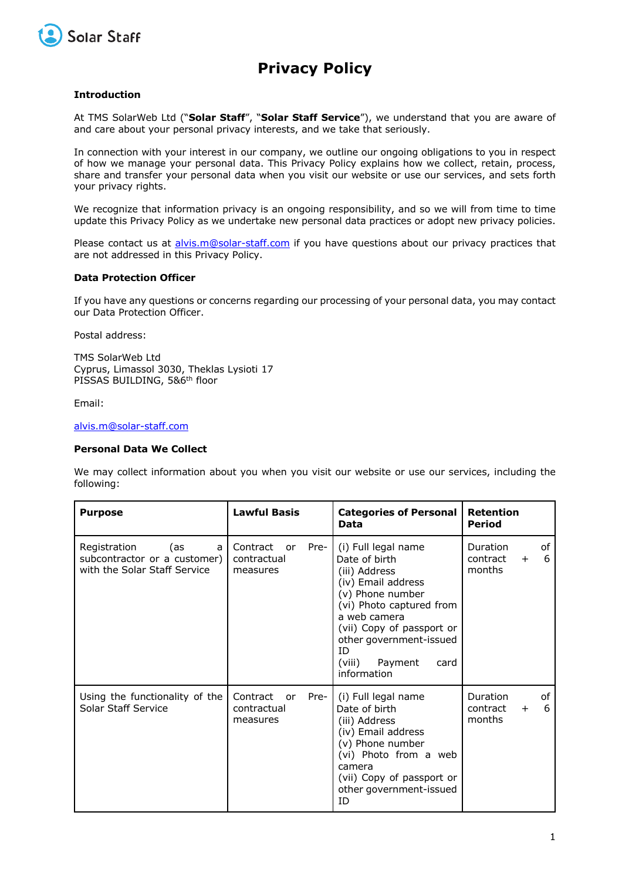

# **Privacy Policy**

# **Introduction**

At TMS SolarWeb Ltd ("**Solar Staff**", "**Solar Staff Service**"), we understand that you are aware of and care about your personal privacy interests, and we take that seriously.

In connection with your interest in our company, we outline our ongoing obligations to you in respect of how we manage your personal data. This Privacy Policy explains how we collect, retain, process, share and transfer your personal data when you visit our website or use our services, and sets forth your privacy rights.

We recognize that information privacy is an ongoing responsibility, and so we will from time to time update this Privacy Policy as we undertake new personal data practices or adopt new privacy policies.

Please contact us at alvis.m@solar-staff.com if you have questions about our privacy practices that are not addressed in this Privacy Policy.

# **Data Protection Officer**

If you have any questions or concerns regarding our processing of your personal data, you may contact our Data Protection Officer.

Postal address:

TMS SolarWeb Ltd Cyprus, Limassol 3030, Theklas Lysioti 17 PISSAS BUILDING, 5&6<sup>th</sup> floor

Email:

#### alvis.m@solar-staff.com

# **Personal Data We Collect**

We may collect information about you when you visit our website or use our services, including the following:

| <b>Purpose</b>                                                                           | <b>Lawful Basis</b>                                          | <b>Categories of Personal</b><br>Data                                                                                                                                                                                                                  | <b>Retention</b><br><b>Period</b>                       |
|------------------------------------------------------------------------------------------|--------------------------------------------------------------|--------------------------------------------------------------------------------------------------------------------------------------------------------------------------------------------------------------------------------------------------------|---------------------------------------------------------|
| Registration<br>(as<br>a<br>subcontractor or a customer)<br>with the Solar Staff Service | Contract or<br>Pre-<br>contractual<br>measures               | (i) Full legal name<br>Date of birth<br>(iii) Address<br>(iv) Email address<br>(v) Phone number<br>(vi) Photo captured from<br>a web camera<br>(vii) Copy of passport or<br>other government-issued<br>TD.<br>Payment<br>(viii)<br>card<br>information | of<br>Duration<br>6<br>contract<br>$+$<br>months        |
| Using the functionality of the<br>Solar Staff Service                                    | Contract<br>Pre-<br><sub>or</sub><br>contractual<br>measures | (i) Full legal name<br>Date of birth<br>(iii) Address<br>(iv) Email address<br>(v) Phone number<br>(vi) Photo from a web<br>camera<br>(vii) Copy of passport or<br>other government-issued<br>TD.                                                      | <b>Duration</b><br>of<br>6<br>contract<br>$+$<br>months |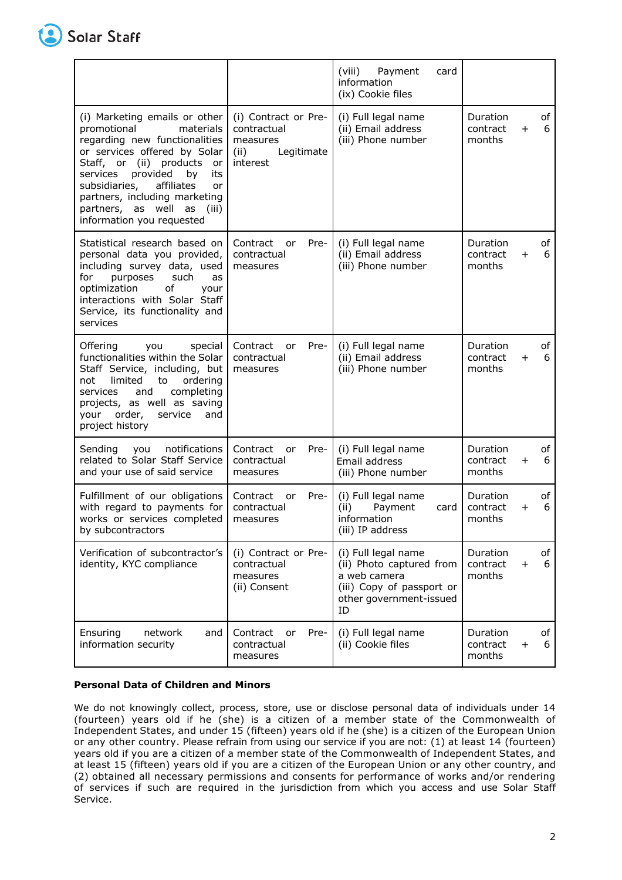

|                                                                                                                                                                                                                                                                                                                                            |                                                                                   | (viii)<br>Payment<br>card<br>information<br>(ix) Cookie files                                                                 |                                |              |         |
|--------------------------------------------------------------------------------------------------------------------------------------------------------------------------------------------------------------------------------------------------------------------------------------------------------------------------------------------|-----------------------------------------------------------------------------------|-------------------------------------------------------------------------------------------------------------------------------|--------------------------------|--------------|---------|
| (i) Marketing emails or other<br>promotional<br>materials<br>regarding new functionalities<br>or services offered by Solar<br>(ii) products<br>Staff, or<br>or<br>provided<br>by<br>its<br>services<br>subsidiaries,<br>affiliates<br>or<br>partners, including marketing<br>partners, as well<br>as<br>(iii)<br>information you requested | (i) Contract or Pre-<br>contractual<br>measures<br>(ii)<br>Legitimate<br>interest | (i) Full legal name<br>(ii) Email address<br>(iii) Phone number                                                               | Duration<br>contract<br>months | $\ddot{}$    | of<br>6 |
| Statistical research based on<br>personal data you provided,<br>including survey data, used<br>for<br>purposes<br>such<br>as<br>οf<br>optimization<br>your<br>interactions with Solar Staff<br>Service, its functionality and<br>services                                                                                                  | Contract<br>Pre-<br>or<br>contractual<br>measures                                 | (i) Full legal name<br>(ii) Email address<br>(iii) Phone number                                                               | Duration<br>contract<br>months | $+$          | оf<br>6 |
| Offering<br>you<br>special<br>functionalities within the Solar<br>Staff Service, including, but<br>not<br>limited<br>to<br>ordering<br>services<br>completing<br>and<br>projects, as well as saving<br>order,<br>service<br>your<br>and<br>project history                                                                                 | Pre-<br>Contract<br><b>or</b><br>contractual<br>measures                          | (i) Full legal name<br>(ii) Email address<br>(iii) Phone number                                                               | Duration<br>contract<br>months | $\pm$        | оf<br>6 |
| Sending<br>notifications<br>you<br>related to Solar Staff Service<br>and your use of said service                                                                                                                                                                                                                                          | Contract<br>Pre-<br>or<br>contractual<br>measures                                 | (i) Full legal name<br>Email address<br>(iii) Phone number                                                                    | Duration<br>contract<br>months | $\pm$        | of<br>6 |
| Fulfillment of our obligations<br>with regard to payments for<br>works or services completed<br>by subcontractors                                                                                                                                                                                                                          | Pre-<br>Contract<br>or<br>contractual<br>measures                                 | (i) Full legal name<br>(ii)<br>Payment<br>card<br>information<br>(iii) IP address                                             | Duration<br>contract<br>months | $\mathrm{+}$ | оf<br>6 |
| Verification of subcontractor's<br>identity, KYC compliance                                                                                                                                                                                                                                                                                | (i) Contract or Pre-<br>contractual<br>measures<br>(ii) Consent                   | (i) Full legal name<br>(ii) Photo captured from<br>a web camera<br>(iii) Copy of passport or<br>other government-issued<br>ID | Duration<br>contract<br>months | $\ddot{}$    | of<br>6 |
| network<br>Ensuring<br>and<br>information security                                                                                                                                                                                                                                                                                         | Contract<br>Pre-<br>or<br>contractual<br>measures                                 | (i) Full legal name<br>(ii) Cookie files                                                                                      | Duration<br>contract<br>months | $\ddot{}$    | of<br>6 |

# **Personal Data of Children and Minors**

We do not knowingly collect, process, store, use or disclose personal data of individuals under 14 (fourteen) years old if he (she) is a citizen of a member state of the Commonwealth of Independent States, and under 15 (fifteen) years old if he (she) is a citizen of the European Union or any other country. Please refrain from using our service if you are not: (1) at least 14 (fourteen) years old if you are a citizen of a member state of the Commonwealth of Independent States, and at least 15 (fifteen) years old if you are a citizen of the European Union or any other country, and (2) obtained all necessary permissions and consents for performance of works and/or rendering of services if such are required in the jurisdiction from which you access and use Solar Staff Service.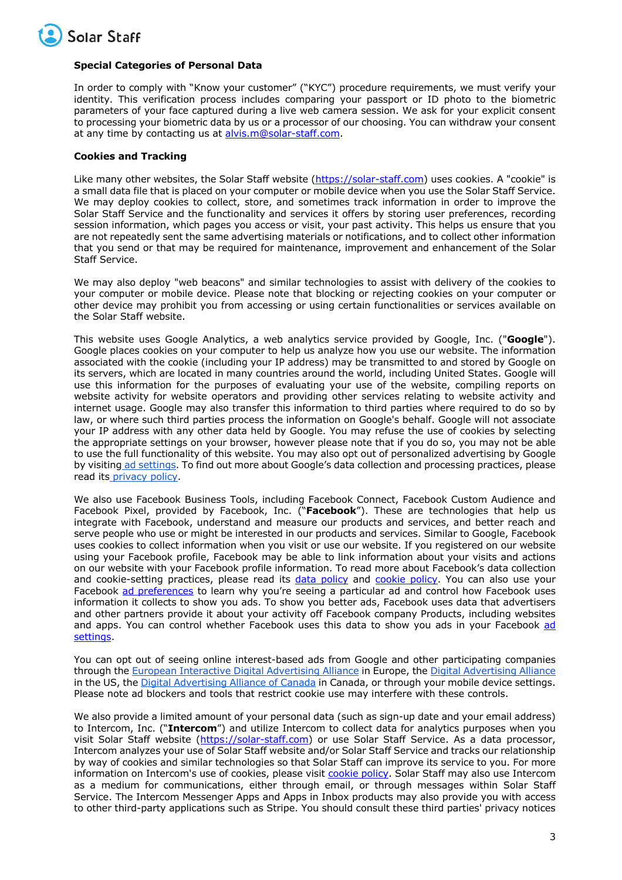

# **Special Categories of Personal Data**

In order to comply with "Know your customer" ("KYC") procedure requirements, we must verify your identity. This verification process includes comparing your passport or ID photo to the biometric parameters of your face captured during a live web camera session. We ask for your explicit consent to processing your biometric data by us or a processor of our choosing. You can withdraw your consent at any time by contacting us at alvis.m@solar-staff.com.

# **Cookies and Tracking**

Like many other websites, the Solar Staff website (https://solar-staff.com) uses cookies. A "cookie" is a small data file that is placed on your computer or mobile device when you use the Solar Staff Service. We may deploy cookies to collect, store, and sometimes track information in order to improve the Solar Staff Service and the functionality and services it offers by storing user preferences, recording session information, which pages you access or visit, your past activity. This helps us ensure that you are not repeatedly sent the same advertising materials or notifications, and to collect other information that you send or that may be required for maintenance, improvement and enhancement of the Solar Staff Service.

We may also deploy "web beacons" and similar technologies to assist with delivery of the cookies to your computer or mobile device. Please note that blocking or rejecting cookies on your computer or other device may prohibit you from accessing or using certain functionalities or services available on the Solar Staff website.

This website uses Google Analytics, a web analytics service provided by Google, Inc. ("**Google**"). Google places cookies on your computer to help us analyze how you use our website. The information associated with the cookie (including your IP address) may be transmitted to and stored by Google on its servers, which are located in many countries around the world, including United States. Google will use this information for the purposes of evaluating your use of the website, compiling reports on website activity for website operators and providing other services relating to website activity and internet usage. Google may also transfer this information to third parties where required to do so by law, or where such third parties process the information on Google's behalf. Google will not associate your IP address with any other data held by Google. You may refuse the use of cookies by selecting the appropriate settings on your browser, however please note that if you do so, you may not be able to use the full functionality of this website. You may also opt out of personalized advertising by Google by visiting ad settings. To find out more about Google's data collection and processing practices, please read its privacy policy.

We also use Facebook Business Tools, including Facebook Connect, Facebook Custom Audience and Facebook Pixel, provided by Facebook, Inc. ("**Facebook**"). These are technologies that help us integrate with Facebook, understand and measure our products and services, and better reach and serve people who use or might be interested in our products and services. Similar to Google, Facebook uses cookies to collect information when you visit or use our website. If you registered on our website using your Facebook profile, Facebook may be able to link information about your visits and actions on our website with your Facebook profile information. To read more about Facebook's data collection and cookie-setting practices, please read its data policy and cookie policy. You can also use your Facebook ad preferences to learn why you're seeing a particular ad and control how Facebook uses information it collects to show you ads. To show you better ads, Facebook uses data that advertisers and other partners provide it about your activity off Facebook company Products, including websites and apps. You can control whether Facebook uses this data to show you ads in your Facebook ad settings.

You can opt out of seeing online interest-based ads from Google and other participating companies through the European Interactive Digital Advertising Alliance in Europe, the Digital Advertising Alliance in the US, the Digital Advertising Alliance of Canada in Canada, or through your mobile device settings. Please note ad blockers and tools that restrict cookie use may interfere with these controls.

We also provide a limited amount of your personal data (such as sign-up date and your email address) to Intercom, Inc. ("**Intercom**") and utilize Intercom to collect data for analytics purposes when you visit Solar Staff website (https://solar-staff.com) or use Solar Staff Service. As a data processor, Intercom analyzes your use of Solar Staff website and/or Solar Staff Service and tracks our relationship by way of cookies and similar technologies so that Solar Staff can improve its service to you. For more information on Intercom's use of cookies, please visit cookie policy. Solar Staff may also use Intercom as a medium for communications, either through email, or through messages within Solar Staff Service. The Intercom Messenger Apps and Apps in Inbox products may also provide you with access to other third-party applications such as Stripe. You should consult these third parties' privacy notices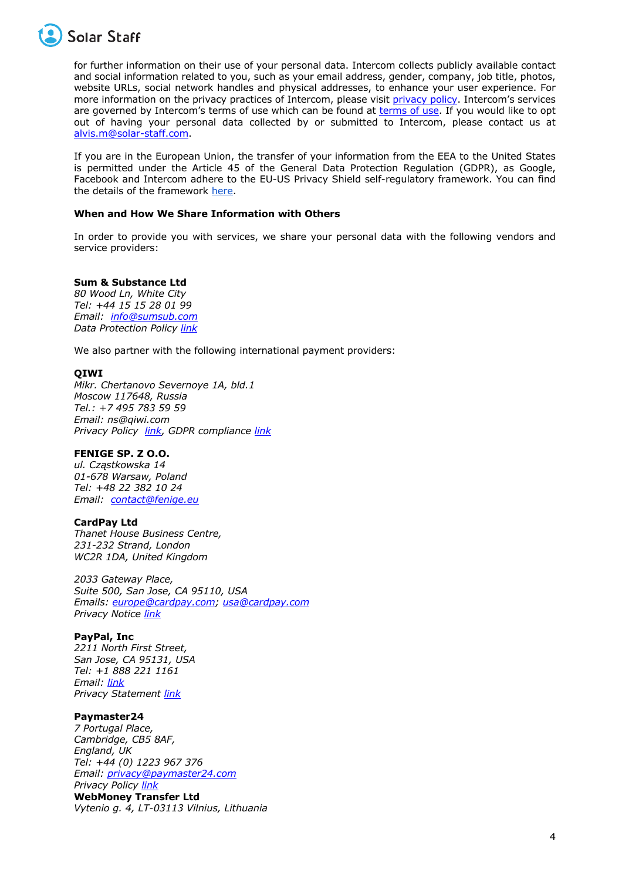

for further information on their use of your personal data. Intercom collects publicly available contact and social information related to you, such as your email address, gender, company, job title, photos, website URLs, social network handles and physical addresses, to enhance your user experience. For more information on the privacy practices of Intercom, please visit privacy policy. Intercom's services are governed by Intercom's terms of use which can be found at terms of use. If you would like to opt out of having your personal data collected by or submitted to Intercom, please contact us at alvis.m@solar-staff.com.

If you are in the European Union, the transfer of your information from the EEA to the United States is permitted under the Article 45 of the General Data Protection Regulation (GDPR), as Google, Facebook and Intercom adhere to the EU-US Privacy Shield self-regulatory framework. You can find the details of the framework here.

# **When and How We Share Information with Others**

In order to provide you with services, we share your personal data with the following vendors and service providers:

# **Sum & Substance Ltd**

*80 Wood Ln, White City Tel: +44 15 15 28 01 99 Email: info@sumsub.com Data Protection Policy link*

We also partner with the following international payment providers:

# **QIWI**

*Mikr. Chertanovo Severnoye 1A, bld.1 Moscow 117648, Russia Tel.: +7 495 783 59 59 Email: ns@qiwi.com Privacy Policy link, GDPR compliance link*

# **FENIGE SP. Z O.O.**

*ul. Cząstkowska 14 01-678 Warsaw, Poland Tel: +48 22 382 10 24 Email: contact@fenige.eu*

# **CardPay Ltd**

*Thanet House Business Centre, 231-232 Strand, London WC2R 1DA, United Kingdom*

*2033 Gateway Place, Suite 500, San Jose, CA 95110, USA Emails: europe@cardpay.com; usa@cardpay.com Privacy Notice link*

#### **PayPal, Inc**

*2211 North First Street, San Jose, CA 95131, USA Tel: +1 888 221 1161 Email: link Privacy Statement link* 

# **Paymaster24**

*7 Portugal Place, Cambridge, CB5 8AF, England, UK Tel: +44 (0) 1223 967 376 Email: privacy@paymaster24.com Privacy Policy link* **WebMoney Transfer Ltd**

*Vytenio g. 4, LT-03113 Vilnius, Lithuania*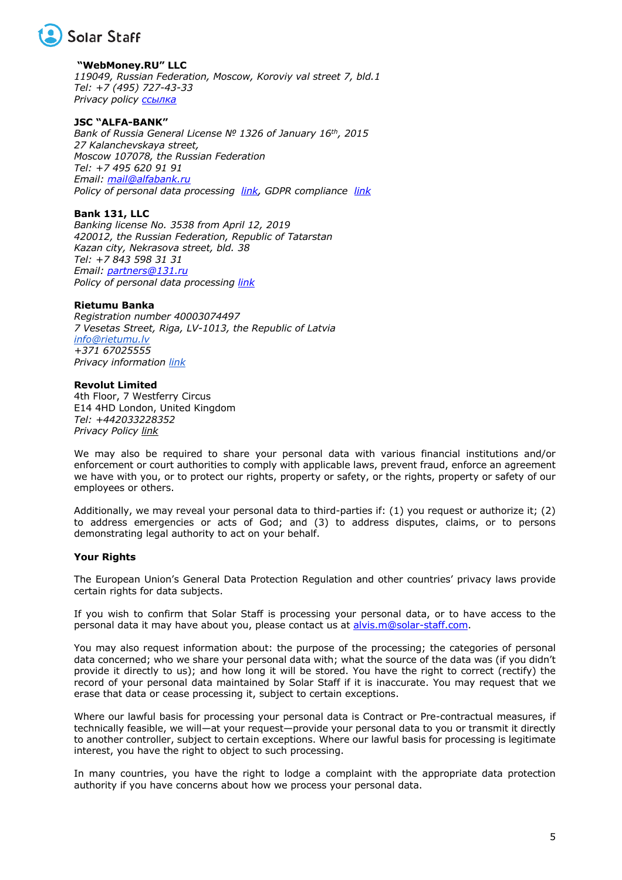

**"WebMoney.RU" LLC** *119049, Russian Federation, Moscow, Koroviy val street 7, bld.1 Tel: +7 (495) 727-43-33 Privacy policy ссылка*

# **JSC "ALFA-BANK"**

*Bank of Russia General License № 1326 of January 16th, 2015 27 Kalanchevskaya street, Moscow 107078, the Russian Federation Tel: +7 495 620 91 91 Email: mail@alfabank.ru Policy of personal data processing link, GDPR compliance link*

# **Bank 131, LLC**

*Banking license No. 3538 from April 12, 2019 420012, the Russian Federation, Republic of Tatarstan Kazan city, Nekrasova street, bld. 38 Tel: +7 843 598 31 31 Email: partners@131.ru Policy of personal data processing link*

#### **Rietumu Banka**

*Registration number 40003074497 7 Vesetas Street, Riga, LV-1013, the Republic of Latvia info@rietumu.lv +371 67025555 Privacy information link*

#### **Revolut Limited**

4th Floor, 7 Westferry Circus E14 4HD London, United Kingdom *Tel: +442033228352 Privacy Policy link*

We may also be required to share your personal data with various financial institutions and/or enforcement or court authorities to comply with applicable laws, prevent fraud, enforce an agreement we have with you, or to protect our rights, property or safety, or the rights, property or safety of our employees or others.

Additionally, we may reveal your personal data to third-parties if: (1) you request or authorize it; (2) to address emergencies or acts of God; and (3) to address disputes, claims, or to persons demonstrating legal authority to act on your behalf.

# **Your Rights**

The European Union's General Data Protection Regulation and other countries' privacy laws provide certain rights for data subjects.

If you wish to confirm that Solar Staff is processing your personal data, or to have access to the personal data it may have about you, please contact us at alvis.m@solar-staff.com.

You may also request information about: the purpose of the processing; the categories of personal data concerned; who we share your personal data with; what the source of the data was (if you didn't provide it directly to us); and how long it will be stored. You have the right to correct (rectify) the record of your personal data maintained by Solar Staff if it is inaccurate. You may request that we erase that data or cease processing it, subject to certain exceptions.

Where our lawful basis for processing your personal data is Contract or Pre-contractual measures, if technically feasible, we will—at your request—provide your personal data to you or transmit it directly to another controller, subject to certain exceptions. Where our lawful basis for processing is legitimate interest, you have the right to object to such processing.

In many countries, you have the right to lodge a complaint with the appropriate data protection authority if you have concerns about how we process your personal data.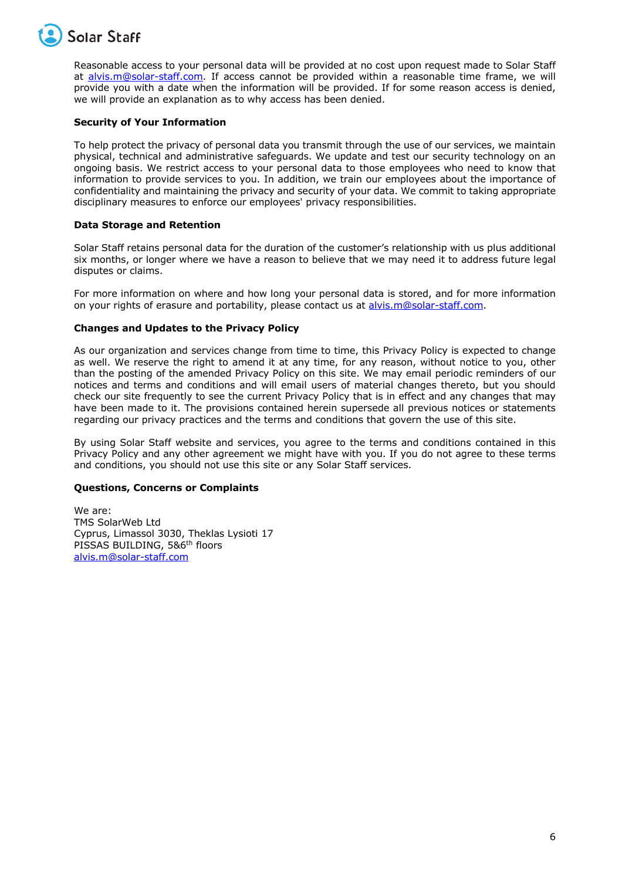

Reasonable access to your personal data will be provided at no cost upon request made to Solar Staff at alvis.m@solar-staff.com. If access cannot be provided within a reasonable time frame, we will provide you with a date when the information will be provided. If for some reason access is denied, we will provide an explanation as to why access has been denied.

# **Security of Your Information**

To help protect the privacy of personal data you transmit through the use of our services, we maintain physical, technical and administrative safeguards. We update and test our security technology on an ongoing basis. We restrict access to your personal data to those employees who need to know that information to provide services to you. In addition, we train our employees about the importance of confidentiality and maintaining the privacy and security of your data. We commit to taking appropriate disciplinary measures to enforce our employees' privacy responsibilities.

# **Data Storage and Retention**

Solar Staff retains personal data for the duration of the customer's relationship with us plus additional six months, or longer where we have a reason to believe that we may need it to address future legal disputes or claims.

For more information on where and how long your personal data is stored, and for more information on your rights of erasure and portability, please contact us at alvis.m@solar-staff.com.

# **Changes and Updates to the Privacy Policy**

As our organization and services change from time to time, this Privacy Policy is expected to change as well. We reserve the right to amend it at any time, for any reason, without notice to you, other than the posting of the amended Privacy Policy on this site. We may email periodic reminders of our notices and terms and conditions and will email users of material changes thereto, but you should check our site frequently to see the current Privacy Policy that is in effect and any changes that may have been made to it. The provisions contained herein supersede all previous notices or statements regarding our privacy practices and the terms and conditions that govern the use of this site.

By using Solar Staff website and services, you agree to the terms and conditions contained in this Privacy Policy and any other agreement we might have with you. If you do not agree to these terms and conditions, you should not use this site or any Solar Staff services.

# **Questions, Concerns or Complaints**

We are: TMS SolarWeb Ltd Cyprus, Limassol 3030, Theklas Lysioti 17 PISSAS BUILDING, 5&6<sup>th</sup> floors alvis.m@solar-staff.com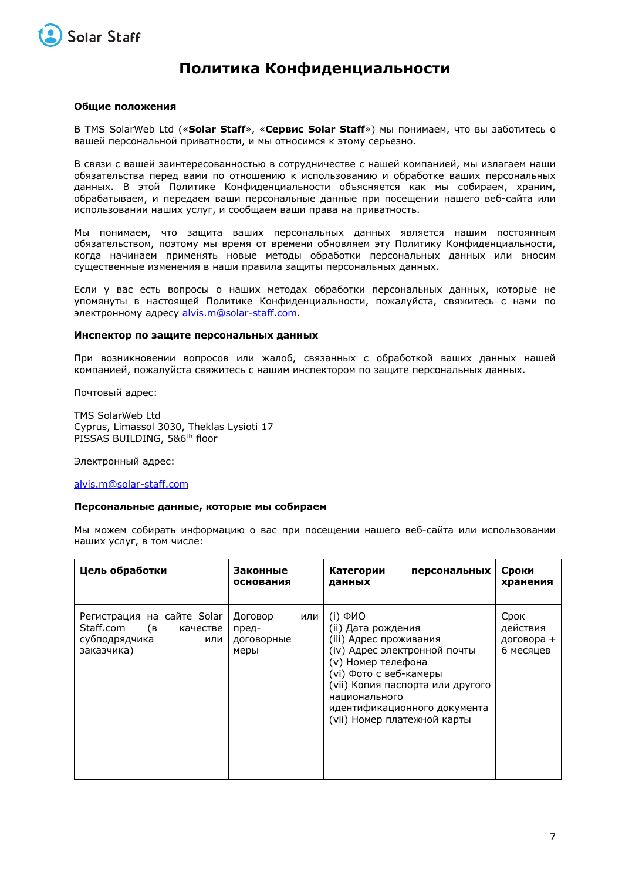

# **Политика Конфиденциальности**

### **Общие положения**

В TMS SolarWeb Ltd («**Solar Staff**», «**Сервис Solar Staff**») мы понимаем, что вы заботитесь о вашей персональной приватности, и мы относимся к этому серьезно.

В связи с вашей заинтересованностью в сотрудничестве с нашей компанией, мы излагаем наши обязательства перед вами по отношению к использованию и обработке ваших персональных данных. В этой Политике Конфиденциальности объясняется как мы собираем, храним, обрабатываем, и передаем ваши персональные данные при посещении нашего веб-сайта или использовании наших услуг, и сообщаем ваши права на приватность.

Мы понимаем, что защита ваших персональных данных является нашим постоянным обязательством, поэтому мы время от времени обновляем эту Политику Конфиденциальности, когда начинаем применять новые методы обработки персональных данных или вносим существенные изменения в наши правила защиты персональных данных.

Если у вас есть вопросы о наших методах обработки персональных данных, которые не упомянуты в настоящей Политике Конфиденциальности, пожалуйста, свяжитесь с нами по электронному адресу alvis.m@solar-staff.com.

#### **Инспектор по защите персональных данных**

При возникновении вопросов или жалоб, связанных с обработкой ваших данных нашей компанией, пожалуйста свяжитесь с нашим инспектором по защите персональных данных.

Почтовый адрес:

TMS SolarWeb Ltd Cyprus, Limassol 3030, Theklas Lysioti 17 PISSAS BUILDING, 5&6<sup>th</sup> floor

Электронный адрес:

#### alvis.m@solar-staff.com

#### **Персональные данные, которые мы собираем**

Мы можем собирать информацию о вас при посещении нашего веб-сайта или использовании наших услуг, в том числе:

| Цель обработки                                                                               | Законные<br>основания                         | Категории<br>персональных<br>данных                                                                                                                                                                                                                                        | Сроки<br>хранения                           |
|----------------------------------------------------------------------------------------------|-----------------------------------------------|----------------------------------------------------------------------------------------------------------------------------------------------------------------------------------------------------------------------------------------------------------------------------|---------------------------------------------|
| Регистрация на сайте Solar<br>Staff.com (в<br>качестве<br>субподрядчика<br>или<br>заказчика) | Договор<br>или<br>пред-<br>договорные<br>меры | $(i)$ $\Phi$ <i>MO</i><br>(ii) Дата рождения<br>(iii) Адрес проживания<br>(iv) Адрес электронной почты<br>(v) Номер телефона<br>(vi) Фото с веб-камеры<br>(vii) Копия паспорта или другого<br>национального<br>идентификационного документа<br>(vii) Номер платежной карты | Срок<br>действия<br>договора +<br>6 месяцев |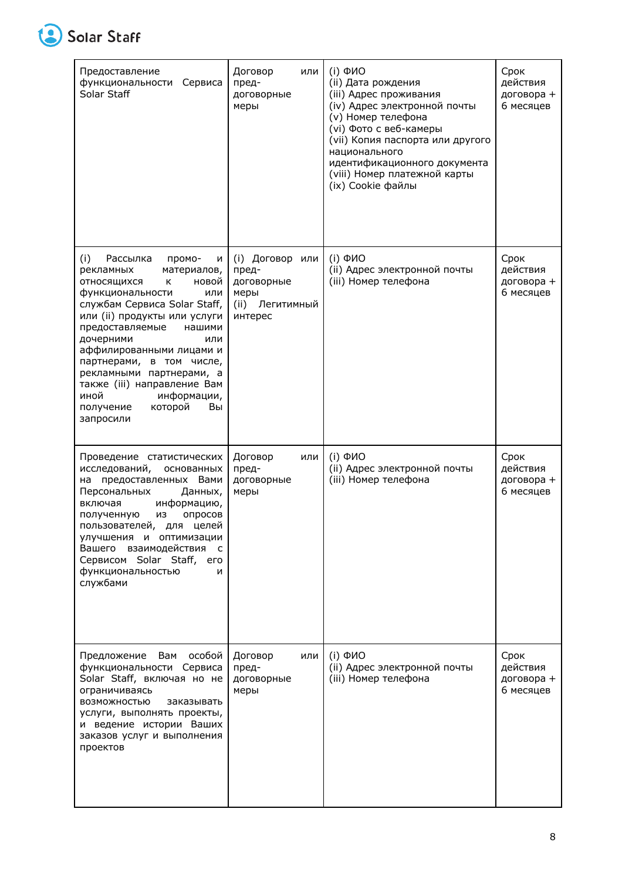

| Предоставление<br>Сервиса<br>функциональности<br>Solar Staff                                                                                                                                                                                                                                                                                                                                                             | Договор<br>или<br>пред-<br>договорные<br>меры                                      | (i) <b>OMO</b><br>(ii) Дата рождения<br>(iii) Адрес проживания<br>(iv) Адрес электронной почты<br>(v) Номер телефона<br>(vi) Фото с веб-камеры<br>(vii) Копия паспорта или другого<br>национального<br>идентификационного документа<br>(viii) Номер платежной карты<br>(ix) Cookie файлы | Срок<br>действия<br>договора +<br>6 месяцев |
|--------------------------------------------------------------------------------------------------------------------------------------------------------------------------------------------------------------------------------------------------------------------------------------------------------------------------------------------------------------------------------------------------------------------------|------------------------------------------------------------------------------------|------------------------------------------------------------------------------------------------------------------------------------------------------------------------------------------------------------------------------------------------------------------------------------------|---------------------------------------------|
| (i)<br>Рассылка<br>промо-<br>N<br>рекламных<br>материалов,<br>ОТНОСЯЩИХСЯ<br>новой<br>к<br>функциональности<br>или<br>службам Сервиса Solar Staff,<br>или (ii) продукты или услуги<br>предоставляемые<br>нашими<br>дочерними<br>или<br>аффилированными лицами и<br>партнерами, в том числе,<br>рекламными партнерами, а<br>также (iii) направление Вам<br>иной<br>информации,<br>которой<br>получение<br>Вы<br>запросили | (i) Договор<br>или<br>пред-<br>договорные<br>меры<br>(ii)<br>Легитимный<br>интерес | (i) <b>OMO</b><br>(ii) Адрес электронной почты<br>(iii) Номер телефона                                                                                                                                                                                                                   | Срок<br>действия<br>договора +<br>6 месяцев |
| Проведение статистических<br>исследований,<br>основанных<br>на предоставленных Вами<br>Персональных<br>Данных,<br>включая<br>информацию,<br>опросов<br>полученную<br>из<br>пользователей, для целей<br>улучшения и оптимизации<br>Вашего взаимодействия<br>$\mathsf{C}$<br>Сервисом Solar Staff,<br>его<br>функциональностью<br>N<br>службами                                                                            | Договор<br>или<br>пред-<br>договорные<br>меры                                      | $(i)$ $\Phi$ <i>NO</i><br>(ii) Адрес электронной почты<br>(iii) Номер телефона                                                                                                                                                                                                           | Срок<br>действия<br>договора +<br>6 месяцев |
| особой<br>Вам<br>Предложение<br>функциональности Сервиса<br>Solar Staff, включая но не<br>ограничиваясь<br><b>ВОЗМОЖНОСТЬЮ</b><br>заказывать<br>услуги, выполнять проекты,<br>и ведение истории Ваших<br>заказов услуг и выполнения<br>проектов                                                                                                                                                                          | Договор<br>или<br>пред-<br>договорные<br>меры                                      | $(i)$ $\Phi$ <i>NO</i><br>(ii) Адрес электронной почты<br>(iii) Номер телефона                                                                                                                                                                                                           | Срок<br>действия<br>договора +<br>6 месяцев |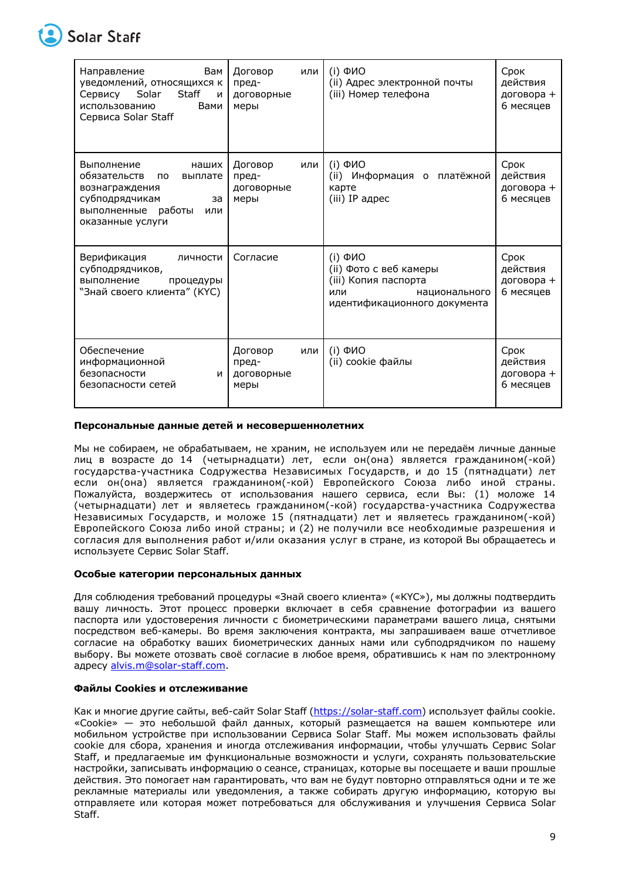

# **Solar Staff**

| Вам<br>Направление<br>уведомлений, относящихся к<br>Сервису Solar<br><b>Staff</b><br>И<br>использованию<br>Вами<br>Сервиса Solar Staff                 | Договор<br>или<br>пред-<br>договорные<br>меры | $(i)$ $\Phi$ <i>MO</i><br>(ii) Адрес электронной почты<br>(iii) Номер телефона                                                       | Срок<br>действия<br>договора +<br>6 месяцев |
|--------------------------------------------------------------------------------------------------------------------------------------------------------|-----------------------------------------------|--------------------------------------------------------------------------------------------------------------------------------------|---------------------------------------------|
| Выполнение<br>наших<br>обязательств<br>выплате<br><b>no</b><br>вознаграждения<br>субподрядчикам<br>за<br>выполненные работы<br>или<br>оказанные услуги | Договор<br>или<br>пред-<br>договорные<br>меры | (i) ФИО<br>(ii) Информация о платёжной<br>карте<br>(iii) IP адрес                                                                    | Срок<br>действия<br>договора +<br>6 месяцев |
| Верификация<br>личности<br>субподрядчиков,<br>выполнение<br>процедуры<br>"Знай своего клиента" (КҮС)                                                   | Согласие                                      | $(i)$ $\Phi$ <sub>MO</sub><br>(ii) Фото с веб камеры<br>(iii) Копия паспорта<br>или<br>национального<br>идентификационного документа | Срок<br>действия<br>договора +<br>6 месяцев |
| Обеспечение<br>информационной<br>безопасности<br>и<br>безопасности сетей                                                                               | Договор<br>или<br>пред-<br>договорные<br>меры | $(i)$ $\Phi$ <i>MO</i><br>(ii) cookie файлы                                                                                          | Срок<br>действия<br>договора +<br>6 месяцев |

# **Персональные данные детей и несовершеннолетних**

Мы не собираем, не обрабатываем, не храним, не используем или не передаём личные данные лиц в возрасте до 14 (четырнадцати) лет, если он(она) является гражданином(-кой) государства-участника Содружества Независимых Государств, и до 15 (пятнадцати) лет если он(она) является гражданином(-кой) Европейского Союза либо иной страны. Пожалуйста, воздержитесь от использования нашего сервиса, если Вы: (1) моложе 14 (четырнадцати) лет и являетесь гражданином(-кой) государства-участника Содружества Независимых Государств, и моложе 15 (пятнадцати) лет и являетесь гражданином(-кой) Европейского Союза либо иной страны; и (2) не получили все необходимые разрешения и согласия для выполнения работ и/или оказания услуг в стране, из которой Вы обращаетесь и используете Сервис Solar Staff.

#### **Особые категории персональных данных**

Для соблюдения требований процедуры «Знай своего клиента» («KYC»), мы должны подтвердить вашу личность. Этот процесс проверки включает в себя сравнение фотографии из вашего паспорта или удостоверения личности с биометрическими параметрами вашего лица, снятыми посредством веб-камеры. Во время заключения контракта, мы запрашиваем ваше отчетливое согласие на обработку ваших биометрических данных нами или субподрядчиком по нашему выбору. Вы можете отозвать своё согласие в любое время, обратившись к нам по электронному адресу alvis.m@solar-staff.com.

#### **Файлы Cookies и отслеживание**

Как и многие другие сайты, веб-сайт Solar Staff (https://solar-staff.com) использует файлы cookie. «Cookie» — это небольшой файл данных, который размещается на вашем компьютере или мобильном устройстве при использовании Сервиса Solar Staff. Мы можем использовать файлы cookie для сбора, хранения и иногда отслеживания информации, чтобы улучшать Сервис Solar Staff, и предлагаемые им функциональные возможности и услуги, сохранять пользовательские настройки, записывать информацию о сеансе, страницах, которые вы посещаете и ваши прошлые действия. Это помогает нам гарантировать, что вам не будут повторно отправляться одни и те же рекламные материалы или уведомления, а также собирать другую информацию, которую вы отправляете или которая может потребоваться для обслуживания и улучшения Сервиса Solar Staff.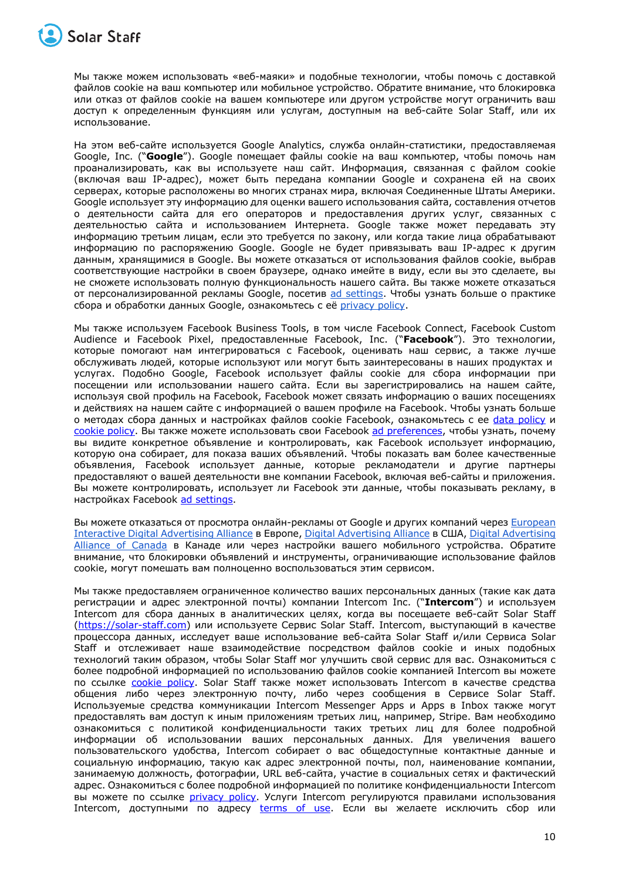

Мы также можем использовать «веб-маяки» и подобные технологии, чтобы помочь с доставкой файлов cookie на ваш компьютер или мобильное устройство. Обратите внимание, что блокировка или отказ от файлов cookie на вашем компьютере или другом устройстве могут ограничить ваш доступ к определенным функциям или услугам, доступным на веб-сайте Solar Staff, или их использование.

На этом веб-сайте используется Google Analytics, служба онлайн-статистики, предоставляемая Google, Inc. ("**Google**"). Google помещает файлы cookie на ваш компьютер, чтобы помочь нам проанализировать, как вы используете наш сайт. Информация, связанная с файлом cookie (включая ваш IP-адрес), может быть передана компании Google и сохранена ей на своих серверах, которые расположены во многих странах мира, включая Соединенные Штаты Америки. Google использует эту информацию для оценки вашего использования сайта, составления отчетов о деятельности сайта для его операторов и предоставления других услуг, связанных с деятельностью сайта и использованием Интернета. Google также может передавать эту информацию третьим лицам, если это требуется по закону, или когда такие лица обрабатывают информацию по распоряжению Google. Google не будет привязывать ваш IP-адрес к другим данным, хранящимися в Google. Вы можете отказаться от использования файлов cookie, выбрав соответствующие настройки в своем браузере, однако имейте в виду, если вы это сделаете, вы не сможете использовать полную функциональность нашего сайта. Вы также можете отказаться от персонализированной рекламы Google, посетив ad settings. Чтобы узнать больше о практике сбора и обработки данных Google, ознакомьтесь с её privacy policy.

Мы также используем Facebook Business Tools, в том числе Facebook Connect, Facebook Custom Audience и Facebook Pixel, предоставленные Facebook, Inc. ("**Facebook**"). Это технологии, которые помогают нам интегрироваться с Facebook, оценивать наш сервис, а также лучше обслуживать людей, которые используют или могут быть заинтересованы в наших продуктах и услугах. Подобно Google, Facebook использует файлы cookie для сбора информации при посещении или использовании нашего сайта. Если вы зарегистрировались на нашем сайте, используя свой профиль на Facebook, Facebook может связать информацию о ваших посещениях и действиях на нашем сайте с информацией о вашем профиле на Facebook. Чтобы узнать больше о методах сбора данных и настройках файлов cookie Facebook, ознакомьтесь с ее data policy и сookie policy. Вы также можете использовать свои Facebook ad preferences, чтобы узнать, почему вы видите конкретное объявление и контролировать, как Facebook использует информацию, которую она собирает, для показа ваших объявлений. Чтобы показать вам более качественные объявления, Facebook использует данные, которые рекламодатели и другие партнеры предоставляют о вашей деятельности вне компании Facebook, включая веб-сайты и приложения. Вы можете контролировать, использует ли Facebook эти данные, чтобы показывать рекламу, в настройках Facebook ad settings.

Вы можете отказаться от просмотра онлайн-рекламы от Google и других компаний через European Interactive Digital Advertising Alliance в Европе, Digital Advertising Alliance в США, Digital Advertising Alliance of Canada в Канаде или через настройки вашего мобильного устройства. Обратите внимание, что блокировки объявлений и инструменты, ограничивающие использование файлов cookie, могут помешать вам полноценно воспользоваться этим сервисом.

Мы также предоставляем ограниченное количество ваших персональных данных (такие как дата регистрации и адрес электронной почты) компании Intercom Inc. ("**Intercom**") и используем Intercom для сбора данных в аналитических целях, когда вы посещаете веб-сайт Solar Staff (https://solar-staff.com) или используете Сервис Solar Staff. Intercom, выступающий в качестве процессора данных, исследует ваше использование веб-сайта Solar Staff и/или Сервиса Solar Staff и отслеживает наше взаимодействие посредством файлов cookie и иных подобных технологий таким образом, чтобы Solar Staff мог улучшить свой сервис для вас. Ознакомиться с более подробной информацией по использованию файлов cookie компанией Intercom вы можете по ссылке **cookie policy**. Solar Staff также может использовать Intercom в качестве средства общения либо через электронную почту, либо через сообщения в Сервисе Solar Staff. Используемые средства коммуникации Intercom Messenger Apps и Apps в Inbox также могут предоставлять вам доступ к иным приложениям третьих лиц, например, Stripe. Вам необходимо ознакомиться с политикой конфиденциальности таких третьих лиц для более подробной информации об использовании ваших персональных данных. Для увеличения вашего пользовательского удобства, Intercom собирает о вас общедоступные контактные данные и социальную информацию, такую как адрес электронной почты, пол, наименование компании, занимаемую должность, фотографии, URL веб-сайта, участие в социальных сетях и фактический адрес. Ознакомиться с более подробной информацией по политике конфиденциальности Intercom вы можете по ссылке *privacy policy*. Услуги Intercom регулируются правилами использования Intercom, доступными по адресу terms of use. Если вы желаете исключить сбор или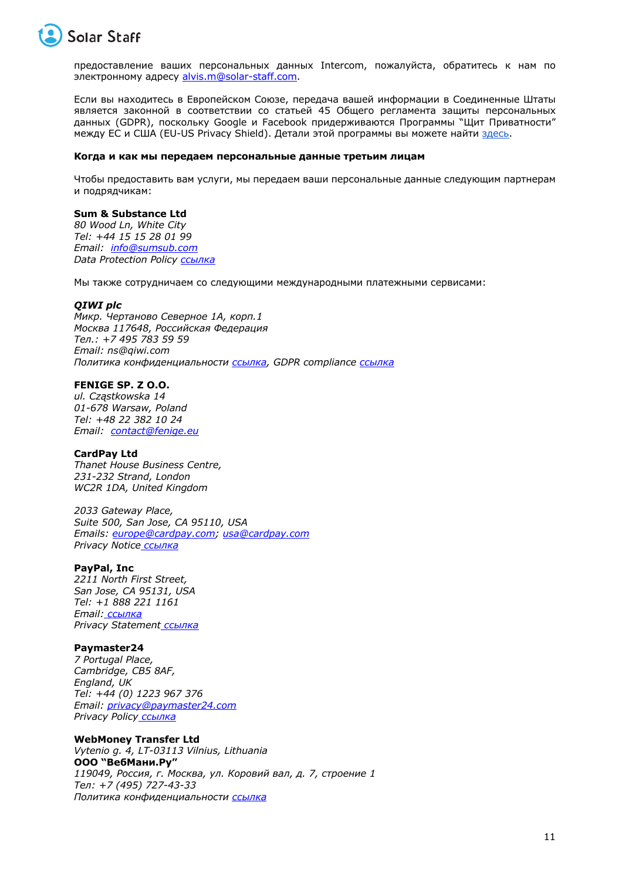

предоставление ваших персональных данных Intercom, пожалуйста, обратитесь к нам по электронному адресу alvis.m@solar-staff.com.

Если вы находитесь в Европейском Союзе, передача вашей информации в Соединенные Штаты является законной в соответствии со статьей 45 Общего регламента защиты персональных данных (GDPR), поскольку Google и Facebook придерживаются Программы "Щит Приватности" между ЕС и США (EU-US Privacy Shield). Детали этой программы вы можете найти здесь.

#### **Когда и как мы передаем персональные данные третьим лицам**

Чтобы предоставить вам услуги, мы передаем ваши персональные данные следующим партнерам и подрядчикам:

#### **Sum & Substance Ltd**

*80 Wood Ln, White City Tel: +44 15 15 28 01 99 Email: info@sumsub.com Data Protection Policy ссылка*

Мы также сотрудничаем со следующими международными платежными сервисами:

#### *QIWI plc*

*Микр. Чертаново Северное 1A, корп.1 Москва 117648, Российская Федерация Тел.: +7 495 783 59 59 Email: ns@qiwi.com Политика конфиденциальности ссылка, GDPR compliance ссылка*

# **FENIGE SP. Z O.O.**

*ul. Cząstkowska 14 01-678 Warsaw, Poland Tel: +48 22 382 10 24 Email: contact@fenige.eu*

#### **CardPay Ltd**

*Thanet House Business Centre, 231-232 Strand, London WC2R 1DA, United Kingdom*

*2033 Gateway Place, Suite 500, San Jose, CA 95110, USA Emails: europe@cardpay.com; usa@cardpay.com Privacy Notice ссылка*

### **PayPal, Inc**

*2211 North First Street, San Jose, CA 95131, USA Tel: +1 888 221 1161 Email: ссылка Privacy Statement ссылка*

# **Paymaster24**

*7 Portugal Place, Cambridge, CB5 8AF, England, UK Tel: +44 (0) 1223 967 376 Email: privacy@paymaster24.com Privacy Policy ссылка*

**WebMoney Transfer Ltd** *Vytenio g. 4, LT-03113 Vilnius, Lithuania* **ООО "ВебМани.Ру"** *119049, Россия, г. Москва, ул. Коровий вал, д. 7, строение 1 Тел: +7 (495) 727-43-33 Политика конфиденциальности ссылка*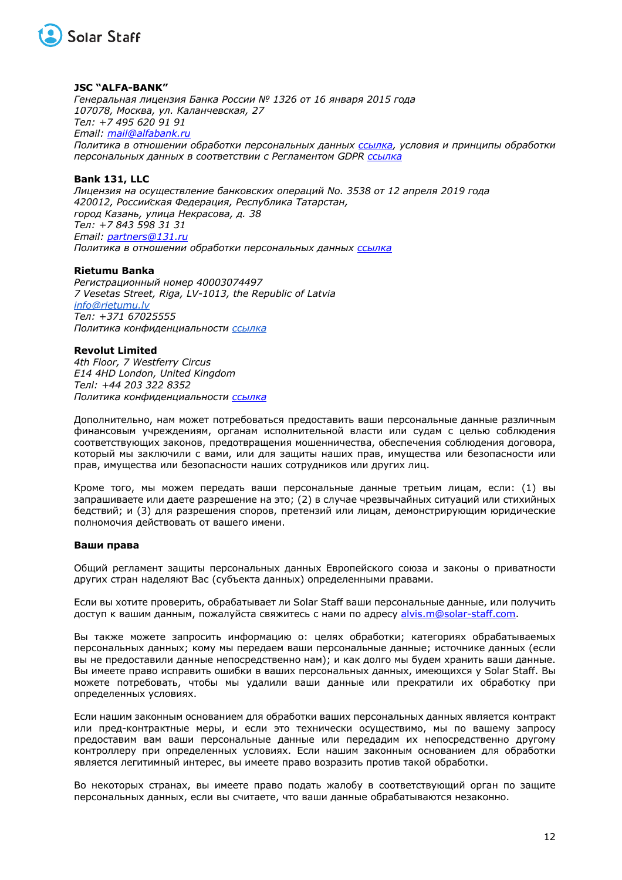

#### **JSC "ALFA-BANK"**

*Генеральная лицензия Банка России № 1326 от 16 января 2015 года 107078, Москва, ул. Каланчевская, 27 Тел: +7 495 620 91 91 Email: mail@alfabank.ru Политика в отношении обработки персональных данных ссылка, условия и принципы обработки персональных данных в соответствии с Регламентом GDPR ссылка*

# **Bank 131, LLC**

*Лицензия на осуществление банковских операций No. 3538 от 12 апреля 2019 года 420012, Российская Федерация, Республика Татарстан, город Казань, улица Некрасова, д. 38 Тел: +7 843 598 31 31 Email: partners@131.ru Политика в отношении обработки персональных данных ссылка*

#### **Rietumu Banka**

*Регистрационный номер 40003074497 7 Vesetas Street, Riga, LV-1013, the Republic of Latvia info@rietumu.lv Тел: +371 67025555 Политика конфиденциальности ссылка*

#### **Revolut Limited**

*4th Floor, 7 Westferry Circus E14 4HD London, United Kingdom Телl: +44 203 322 8352 Политика конфиденциальности ссылка*

Дополнительно, нам может потребоваться предоставить ваши персональные данные различным финансовым учреждениям, органам исполнительной власти или судам с целью соблюдения соответствующих законов, предотвращения мошенничества, обеспечения соблюдения договора, который мы заключили с вами, или для защиты наших прав, имущества или безопасности или прав, имущества или безопасности наших сотрудников или других лиц.

Кроме того, мы можем передать ваши персональные данные третьим лицам, если: (1) вы запрашиваете или даете разрешение на это; (2) в случае чрезвычайных ситуаций или стихийных бедствий; и (3) для разрешения споров, претензий или лицам, демонстрирующим юридические полномочия действовать от вашего имени.

#### **Ваши права**

Общий регламент защиты персональных данных Европейского союза и законы о приватности других стран наделяют Вас (субъекта данных) определенными правами.

Если вы хотите проверить, обрабатывает ли Solar Staff ваши персональные данные, или получить доступ к вашим данным, пожалуйста свяжитесь с нами по адресу alvis.m@solar-staff.com.

Вы также можете запросить информацию о: целях обработки; категориях обрабатываемых персональных данных; кому мы передаем ваши персональные данные; источнике данных (если вы не предоставили данные непосредственно нам); и как долго мы будем хранить ваши данные. Вы имеете право исправить ошибки в ваших персональных данных, имеющихся у Solar Staff. Вы можете потребовать, чтобы мы удалили ваши данные или прекратили их обработку при определенных условиях.

Если нашим законным основанием для обработки ваших персональных данных является контракт или пред-контрактные меры, и если это технически осуществимо, мы по вашему запросу предоставим вам ваши персональные данные или передадим их непосредственно другому контроллеру при определенных условиях. Если нашим законным основанием для обработки является легитимный интерес, вы имеете право возразить против такой обработки.

Во некоторых странах, вы имеете право подать жалобу в соответствующий орган по защите персональных данных, если вы считаете, что ваши данные обрабатываются незаконно.